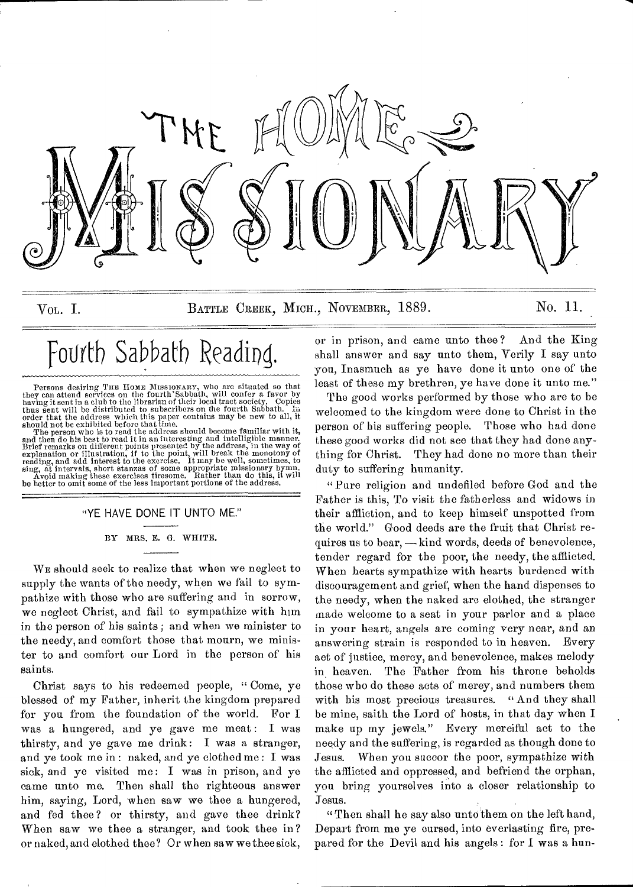

VOL. I. BATTLE CREEK, MICH., NOVEMBER, 1889. No. 11.

# Fourth Sabbath Reading.

Persons desiring THE HOME MISSIONARY, who are situated so that<br>they can attend services on the fourth Sabbath, will confer a favor by<br>having it sent in a club to the librarian of their local tract society. Copies<br>thus sent

The person who is to read the address should become familiar with it, and then do his best to read it in an interesting and intelligible manner Brief remarks on different points presented by the address, in the way of exp

### "YE HAVE DONE IT UNTO ME."

BY MRS. E. G. WHITE.

WE should seek to realize that when we neglect to supply the wants of the needy, when we fail to sympathize with those who are suffering and in sorrow, we neglect Christ, and fail to sympathize with him in the person of his saints ; and when we minister to the needy, and comfort those that mourn, we minister to and comfort our Lord in the person of his saints.

Christ says to his redeemed people, " Come, ye blessed of my Father, inherit the kingdom prepared for you from the foundation of the world. For I was a hungered, and ye gave me meat: I was thirsty, and ye gave me drink: I was a stranger, and ye took me in : naked, and ye clothed me : I was sick, and ye visited me: I was in prison, and ye came unto me. Then shall the righteous answer him, saying, Lord, when saw we thee a hungered, and fed thee? or thirsty, and gave thee drink? When saw we thee a stranger, and took thee in? or naked, and clothed thee? Or when saw we thee sick,

or in prison, and came unto thee ? And the King shall answer and say unto them, Verily I say unto you, Inasmuch as ye have done it unto one of the least of these my brethren, ye have done it unto me."

The good works performed by those who are to be welcomed to the kingdom were done to Christ in the person of his suffering people. Those who had done these good works did not see that they had done anything for Christ. They had done no more than their duty to suffering humanity.

"Pure religion and undefiled before God and the Father is this, To visit the fatherless and widows in their affliction, and to keep himself unspotted from the world." Good deeds are the fruit that Christ requires us to bear, — kind words, deeds of benevolence, tender regard for the poor, the needy, the afflicted. When hearts sympathize with hearts burdened with discouragement and grief, when the hand dispenses to the needy, when the naked are elothed, the stranger made welcome to a seat in your parlor and a place in your heart, angels are coming very near, and an answering strain is responded to in heaven. Every act of justice, mercy, and benevolence, makes melody in heaven. The Father from his throne beholds those who do these acts of mercy, and numbers them with his most precious treasures. "And they shall be mine, saith the Lord of hosts, in that day when I make up my jewels." Every mereiful act to the needy and the suffering, is regarded as though done to Jesus. When you succor the poor, sympathize with the afflicted and oppressed, and befriend the orphan, you bring yourselves into a closer relationship to Jesus.

"Then shall he say also unto'them on the left hand, Depart from me ye cursed, into everlasting fire, prepared for the Devil and his angels : for I was a hun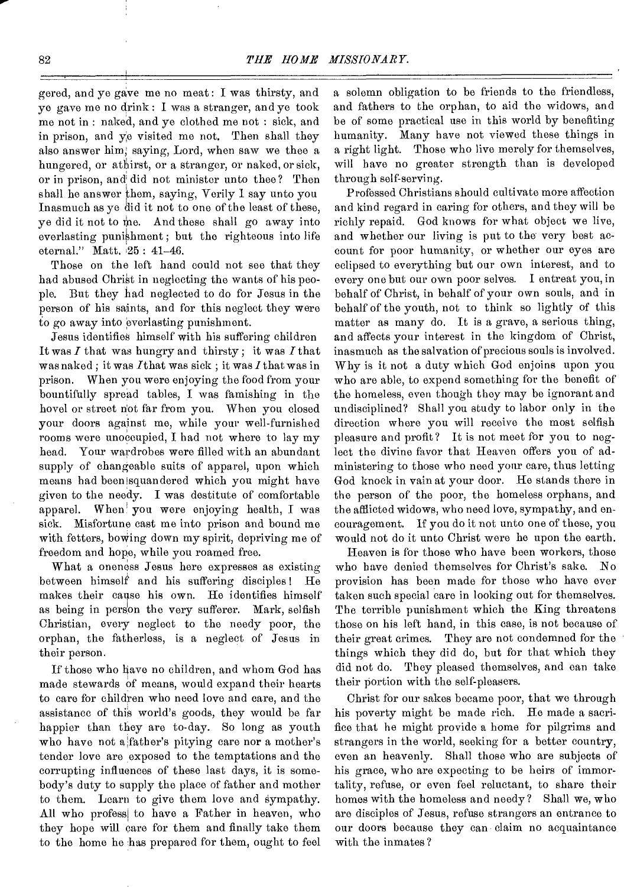gered, and ye gave me no meat : I was thirsty, and ye gave me no drink : I was a stranger, and ye took me not in : naked, and ye clothed me not : sick, and in prison, and ye visited me not. Then shall they also answer him, saying, Lord, when saw we thee a hungered, or athirst, or a stranger, or naked, or sick, or in prison, and did not minister unto thee? Then shall he answer them, saying, Verily I say unto you Inasmuch as ye did it not to one of the least of these, ye did it not to me. And these shall go away into everlasting punishment; but the righteous into life eternal." Matt. 25 : 41-46.

Those on the left hand could not see that they had abused Christ in neglecting the wants of his people. But they had neglected to do for Jesus in the person of his saints, and for this neglect they were to go away into everlasting punishment.

Jesus identifies himself with his suffering children It was *I* that was hungry and thirsty ; it was *I* that was naked ; it was /that was sick ; it was *I* that was in prison. When you were enjoying the food from your bountifully spread tables, I was famishing in the hovel or street n'ot far from you. When you closed your doors against me, while your well-furnished rooms were unoccupied, I had not where to lay my head. Your wardrobes were filled with an abundant supply of changeable suits of apparel, upon which means had been isquandered which you might have given to the needy. I was destitute of comfortable apparel. When' you were enjoying health, I was sick. Misfortune cast me into prison and bound me with fetters, bowing down my spirit, depriving me of freedom and hope, while you roamed free.

What a oneness Jesus here expresses as existing between himself and his suffering disciples! He makes their cause his own. He identifies himself as being in person the very sufferer. Mark, selfish Christian, every neglect to the needy poor, the orphan, the fatherless, is a neglect of Jesus in their person.

If those who have no children, and whom God has made stewards of means, would expand their hearts to care for children who need love and care, and the assistance of this world's goods, they would be far happier than they are to-day. So long as youth who have not a father's pitying care nor a mother's tender love are exposed to the temptations and the corrupting influences of these last days, it is somebody's duty to supply the place of father and mother to them. Learn to give them love and sympathy. All who profess to have a Father in heaven, who they hope will care for them and finally take them to the home he has prepared for them, ought to feel

a solemn obligation to be friends to the friendless, and fathers to the orphan, to aid the widows, and be of some practical use in this world by benefiting humanity. Many have not viewed these things in a right light. Those who live merely for themselves, will have no greater strength than is developed through self-serving.

Professed Christians should cultivate more affection and kind regard in caring for others, and they will be richly repaid. God knows for what object wo live, and whether our living is put to the very best account for poor humanity, or whether our eyes are eclipsed to everything but our own interest, and to every one but our own poor selves. I entreat you, in behalf of Christ, in behalf of your own souls, and in behalf of the youth, not to think so lightly of this matter as many do. It is a grave, a serious thing, and affects your interest in the kingdom of Christ, inasmuch as the salvation of precious souls is involved. Why is it not a duty which God enjoins upon you who are able, to expend something for the benefit of the homeless, even though they may be ignorant and undisciplined? Shall you study to labor only in the direction where you will receive the most selfish pleasure and profit? It is not meet for you to neglect the divine favor that Heaven offers you of administering to those who need your care, thus letting God knock in vain at your door. He stands there in the person of the poor, the homeless orphans, and the afflicted widows, who need love, sympathy, and encouragement. If you do it not unto one of these, you would not do it unto Christ were he upon the earth.

Heaven is for those who have been workers, those who have denied themselves for Christ's sake. No provision has been made for those who have ever taken such special care in looking out for themselves. The terrible punishment which the King threatens those on his left hand, in this case, is not because of their great crimes. They are not condemned for the things which they did do, but for that which they did not do. They pleased themselves, and can take their portion with the self-pleasers.

Christ for our sakes became poor, that we through his poverty might be made rich. He made a sacrifice that he might provide a home for pilgrims and strangers in the world, seeking for a better country, even an heavenly. Shall those who are subjects of his grace, who are expecting to be heirs of immortality, refuse, or even feel reluctant, to share their homes with the homeless and needy? Shall we, who are disciples of Jesus, refuse strangers an entrance to our doors because they can claim no acquaintance with the inmates ?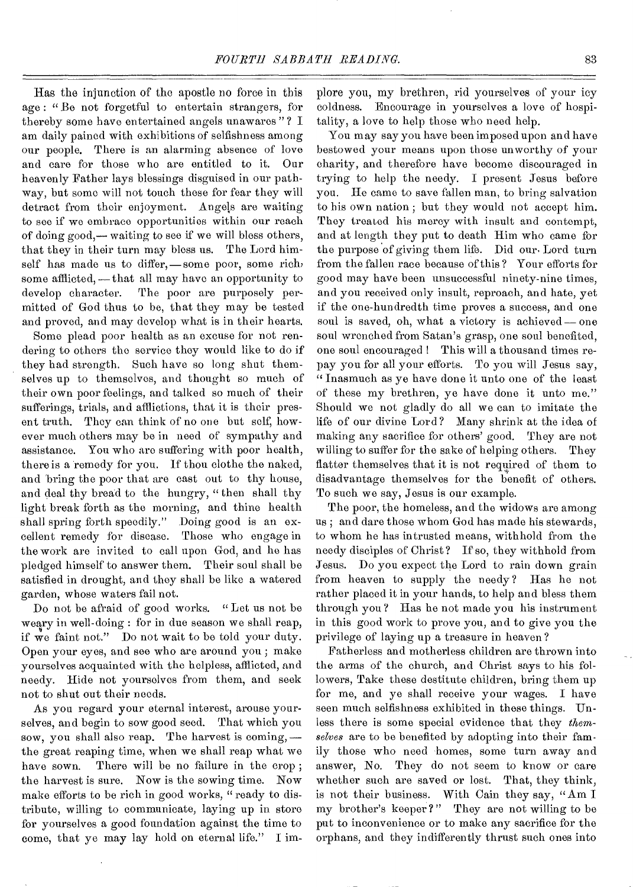Has the injunction of the apostle no force in this age : " Be not forgetful to entertain strangers, for thereby some have entertained angels unawares " ? I am daily pained with exhibitions of selfishness among our people. There is an alarming absence of love and care for those who are entitled to it. Our heavenly Father lays blessings disguised in our pathway, but some will not touch these for fear they will detract from their enjoyment. Angels are waiting to see if we embrace opportunities within our reach of doing good,— waiting to see if we will bless others, that they in their turn may bless us. The Lord himself has made us to differ,—some poor, some rich, some afflicted, —that all may have an opportunity to develop character. The poor are purposely permitted of God thus to be, that they may be tested and proved, and may develop what is in their hearts.

Some plead poor health as an excuse for not rendering to others the service they would like to do if they had strength. Such have so long shut themselves up to themselves, and thought so much of their own poor feelings, and talked so much of their sufferings, trials, and afflictions, that it is their present truth. They can think of no one but self, however much others may be in need of sympathy and assistance. You who aro suffering with poor health, there is a remedy for you. If thou clothe the naked, and bring the poor that aro cast out to thy house, and deal thy bread to the hungry, "then shall thy light break forth as the morning, and thine health shall spring forth speedily." Doing good is an excellent remedy for disease. Those who engage in the work are invited to call upon God, and he has pledged himself to answer them. Their soul shall be satisfied in drought, and they shall be like a watered garden, whose waters fail not.

Do not be afraid of good works. " Let us not be weary in well-doing : for in due season we shall reap, if we faint not." Do not wait to be told your duty. Open your eyes, and see who are around you ; make yourselves acquainted with the helpless, afflicted, and needy. Hide not yourselves from them, and seek not to shut out their needs.

As you regard your eternal interest, arouse yourselves, and begin to sow good seed. That which you sow, you shall also reap. The harvest is coming, the great reaping time, when we shall reap what we have sown. There will be no failure in the crop; the harvest is sure. Now is the sowing time. Now make efforts to be rich in good works, " ready to distribute, willing to communicate, laying up in store for yourselves a good foundation against the time to come, that ye may lay hold on eternal life." I implore you, my brethren, rid yourselves of your icy coldness. Encourage in yourselves a love of hospitality, a love to help those who need help.

You may say you have been imposed upon and have bestowed your means upon those unworthy of your charity, and therefore have become discouraged in trying to help the needy. I present Jesus before you. He came to save fallen man, to bring salvation to his own nation ; but they would not accept him. They treated his mercy with insult and contempt, and at length they put to death Him who came for the purpose of giving them life. Did our. Lord turn from the fallen race because of this ? Your efforts for good may have been unsuccessful ninety-nine times, and you received only insult, reproach, and hate, yet if the one-hundredth time proves a success, and one soul is saved, oh, what a victory is achieved — one soul wrenched from Satan's grasp, one soul benefited, one soul encouraged ! This will a thousand times repay you for all your efforts. To you will Jesus say, " Inasmuch as ye have done it unto one of the least of these my brethren, ye have done it unto me." Should we not gladly do all we can to imitate the life of our divine Lord? Many shrink at the idea of making any sacrifice for others' good. They are not willing to suffer for the sake of helping others. They flatter themselves that it is not required of them to disadvantage themselves for the benefit of others. To such we say, Jesus is our example.

The poor, the homeless, and the widows are among us ; and dare those whom God has made his stewards, to whom he has intrusted means, withhold from the needy disciples of Christ? If so, they withhold from Jesus. Do you expect the Lord to rain down grain from heaven to supply the needy ? Has he not rather placed it in your hands, to help and bless them through you ? Has he not made you his instrument in this good work to prove you, and to give you the privilege of laying up a treasure in heaven ?

Fatherless and motherless children are thrown into the arms of the church, and Christ says to his followers, Take these destitute children, bring them up for me, and ye shall receive your wages. I have seen much selfishness exhibited in these things. Unless there is some special evidence that they *themselves* are to be benefited by adopting into their family those who need homes, some turn away and answer, No. They do not seem to know or care whether such are saved or lost. That, they think, is not their business. With Cain they say, "Am I my brother's keeper ?" They are not willing to be put to inconvenience or to make any sacrifice for the orphans, and they indifferently thrust such ones into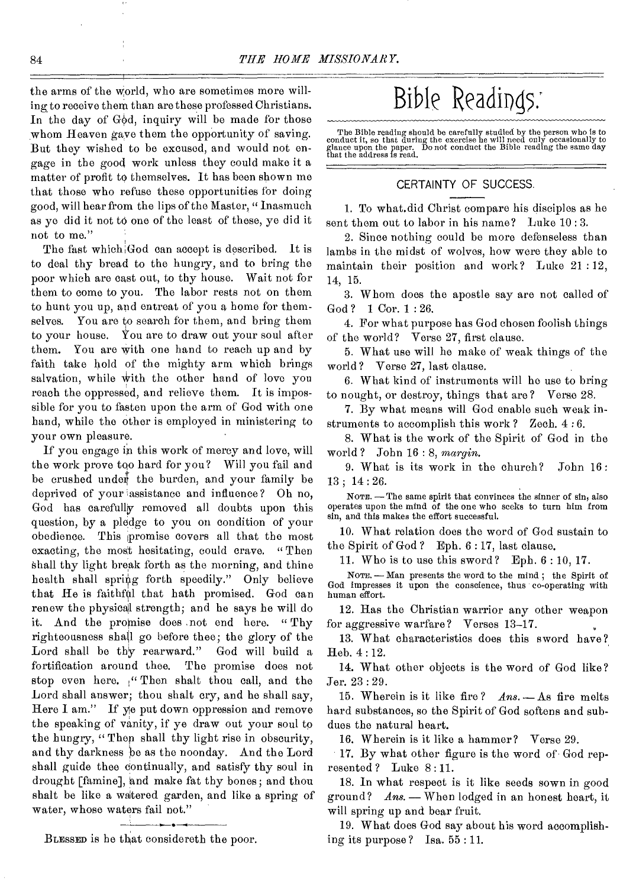the arms of the world, who are sometimes more willing to receive them than are these professed Christians. In the day of  $G\phi d$ , inquiry will be made for those whom Heaven gave them the opportunity of saving. But they wished to be excused, and would not engage in the good work unless they could make it a matter of profit to themselves. It has been shown me that those who refuse these opportunities for doing good, will hear from the lips of the Master, " Inasmuch as ye did it not to one of the least of these, ye did it not to me."

The fast which God can accept is described. It is to deal thy bread to the hungry, and to bring the poor which are cast out, to thy house. Wait not for them to come to you. The labor rests not on them to hunt you up, and entreat of you a home for themselves. You are to search for them, and bring them to your house. You are to draw out your soul after them. You are with one hand to reach up and by faith take hold of the mighty arm which brings salvation, while with the other hand of love you reach the oppressed, and relieve them. It is impossible for you to fasten upon the arm of God with one hand, while the other is employed in ministering to your own pleasure.

If you engage in this work of mercy and love, will the work prove too hard for you? Will you fail and be crushed under the burden, and your family be deprived of your assistance and influence? Oh no, God has carefully removed all doubts upon this question, by a pledge to you on condition of your obedience. This promise covers all that the most exacting, the most hesitating, could crave. " Then Shall thy light break forth as the morning, and thine health shall spring forth speedily." Only believe that He is faithful that hath promised. God can renew the physical strength; and he says he will do it. And the promise does not end here. "Thy righteousness shall go before thee; the glory of the Lord shall be thy rearward." God will build a fortification around thee. The promise does not stop even here.  $\mathcal{C}$  Then shalt thou call, and the Lord shall answer; thou shalt cry, and he shall say, Here I am." If ye put down oppression and remove the speaking of vanity, if ye draw out your soul to the hungry, " Thep shall thy light rise in obscurity, and thy darkness he as the noonday. And the Lord shall guide thee continually, and satisfy thy soul in drought [famine], and make fat thy bones; and thou shalt be like a watered garden, and like a spring of water, whose waters fail not."

# Bible Readings:

The Bible reading should be carefully studied by the person who is to conduct it, so that during the exercise he will need only occasionally to glance upon the paper. Do not conduct the Bible reading the same day that the

## CERTAINTY OF SUCCESS.

1. To what.did Christ compare his disciples as he sent them out to labor in his name? Luke 10 : 3.

2. Since nothing could be more defenseless than lambs in the midst of wolves, how were they able to maintain their position and work? Luke 21 :12, 14, 15.

3. Whom does the apostle say are not called of God ? 1 Cor. 1 : 26.

4. For what purpose has God chosen foolish things of the world? Verse 27, first clause.

5. What use will he make of weak things of the world ? Verse 27, last clause.

6. What kind of instruments will he use to bring to nought, or destroy, things that are? Verse 28.

7. By what means will God enable sueh weak instruments to accomplish this work ? Zech. 4 : 6.

8. What is the work of the Spirit of God in the world? John 16:8, *margin.* 

9. What is its work in the church? John 16: 13 ; 14 : 26.

NOTE. - The same spirit that convinces the sinner of sin, also NOTE. — The same spirit that convinces the sinner of sin, also<br>operates upon the mind of the one who seeks to turn him from sin, and this makes the effort successful.

10. What relation does the word of God sustain to the Spirit of God ? Eph. 6 : 17, last clause.

11. Who is to use this sword? Eph. 6 : 10, 17.

NOTE, - Man presents the word to the mind ; the Spirit of God impresses it upon the conscience, thus co-operating with human effort.

12. Has the Christian warrior any other weapon for aggressive warfare ? Verses 13-17.

13. What characteristics does this sword have? Heb. 4 : 12.

14. What other objects is the word of God like? Jer. 23 : 29.

15. Wherein is it like fire? *Ans.* - As fire melts hard substances, so the Spirit of God softens and subdues the natural heart.

16. Wherein is it like a hammer? Verse 29.

17. By what other figure is the word of God represented? Luke 8:11.

18. In what respect is it like seeds sown in good ground? *Ans. -* When lodged in an honest heart, it will spring up and bear fruit.

19. What does God say about his word accomplishing its purpose ? Isa. 55 : 11.

**Ir •**  BLESSED is he that considereth the poor.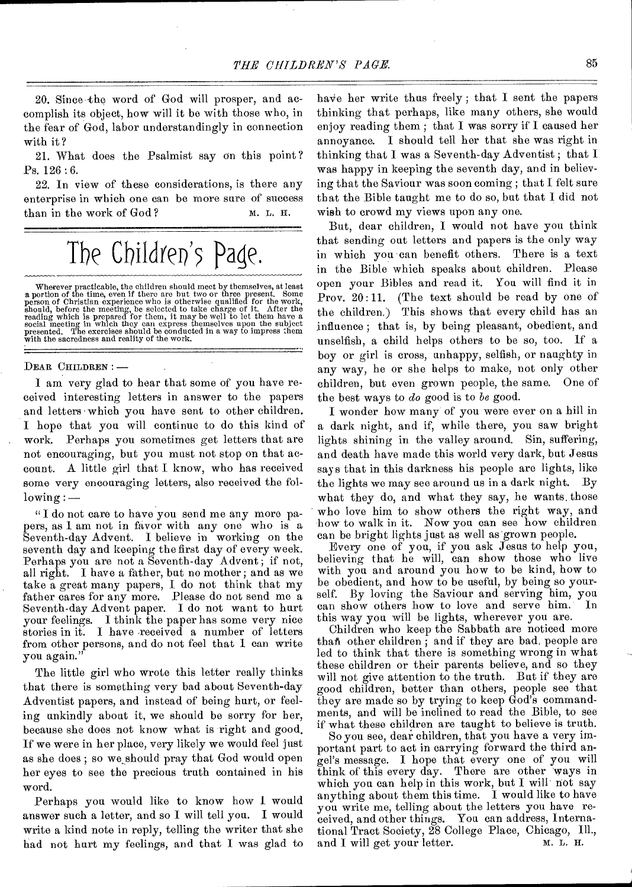20. Since -the word of God will prosper, and accomplish its object, how will it be with those who, in the fear of God, labor understandingly in connection with it ?

21. What does the Psalmist say On this point Ps. 126 : 6.

22. In view of these considerations, is there any enterprise in which one can be more sure of success than in the work of God? M. L. H.

# The Children's Page.

Wherever practicable, the children should meet by themselves, at least<br>a portion of the time, even if there are but two or three present. Some<br>person of Christian experience who is otherwise qualified for the work,<br>should,

#### DEAR CHILDREN : —

I am very glad to hear that some of you have received interesting letters in answer to the papers and letters which you have sent to other children. I hope that you will continue to do this kind of work. Perhaps you sometimes get letters that are not encouraging, but you must not stop on that account. A little girl that I know, who has received some very encouraging letters, also received the fol $lowing:$ 

" I do not care to have you send me any more papers, as I am not in favor with any one who is a Seventh-day Advent. I believe in working on the seventh day and keeping the first day of every week. Perhaps you are not a Seventh-day Advent; if not, all right. I have a father, but no mother; and as we take a great many papers, I do not think that my father cares for any more. Please do not send me a Seventh-day Advent paper. I do not want to hurt your feelings. I think the paper has some very nice stories in it. I have received a number of letters from other persons, and do not feel that I can write you again."

The little girl who wrote this letter really thinks that there is something very bad about Seventh-day Adventist papers, and instead of being hurt, or feeling unkindly about it, we should be sorry for her, because she does not know what is right and good. If we were in her place, very likely we would feel just as she does; so we should pray that God would open her eyes to see the precious truth contained in his word.

Perhaps you would like to know how I would answer such a letter, and so I will tell you. I would write a kind note in reply, telling the writer that she had not hurt my feelings, and that I was glad to

have her write thus freely; that I sent the papers thinking that perhaps, like many others, she would enjoy reading them ; that I was sorry if I caused her annoyance. I should tell her that she was right in thinking that I was a Seventh-day Adventist ; that I was happy in keeping the seventh day, and in believing that the Saviour was soon coming ; that I felt sure that the Bible taught me to do so, but that I did not wish to crowd my views upon any one.

But, dear children, I would not have you think that sending out letters and papers is the only way in which you can benefit others. There is a text in the Bible which speaks about children. Please open your Bibles and read it. You will find it in Prov. 20:11. (The text should be read by one of the children.) This shows that every child has an influence ; that is, by being pleasant, obedient, and unselfish, a child helps others to be so, too. If a boy or girl is cross, unhappy, selfish, or naughty in any way, he or she helps to make, not only other children, but even grown people, the same. One of the best ways to *do* good is to *be* good.

I wonder how many of you were ever on a hill in a dark night, and if, while there, you saw bright lights shining in the valley around. Sin, suffering, and death have made this world very dark, but Jesus says that in this darkness his people are lights, like the lights we may see around us in a dark night. By what they do, and what they say, he wants. those who love him to show others the right way, and how to walk in it. Now you can see how children can be bright lights just as well as grown people.

Every one of you, if you ask Jesus to help you, believing that he will, can show those who live with you and around you how to be kind, how to be obedient, and how to be useful, by being so yourself. By loving the Saviour and serving him, you can show others how to love and serve him. this way you will be lights, wherever you are.

Children who keep the Sabbath are noticed more than other children; and if they are bad, people are led to think that there is something wrong in what these children or their parents believe, and so they will not give attention to the truth. But if they are good children, better than others, people see that they are made so by trying to keep God's commandments, and will be inclined to read the Bible, to see if what these children are taught to believe is truth.

So you see, dear children, that you have a very important part to act in carrying forward the third angel's message. I hope that every one of you will think of this every day. There are other ways in which you can help in this work, but I will not say anything about them this time. I would like to have you write me, telling about the letters you have received, and other things. You can address, International Tract Society, 28 College Place, Chicago, Ill., and I will get your letter.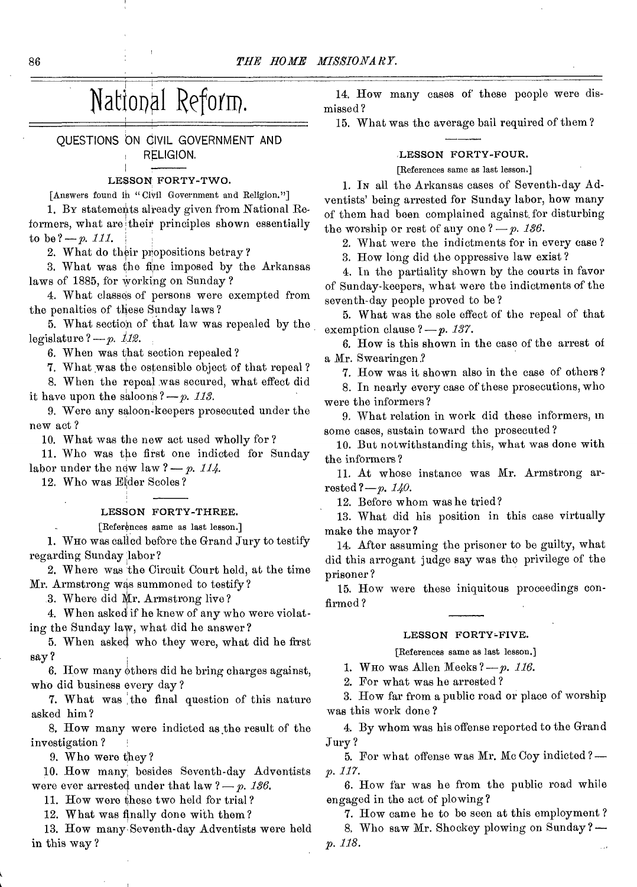# National Reform.

QUESTIONS ON CIVIL GOVERNMENT AND RELIGION.

#### LESSON FORTY-TWO.

[Answers found in "Civil Government and Religion."]

1. BY statements already given from National Reformers, what are their principles shown essentially to be  $? - p. 111$ .

2. What do their propositions betray?

3. What was the fine imposed by the Arkansas laws of 1885, for Working on Sunday ?

4. What classes of persons were exempted from the penalties of these Sunday laws ?

5. What section of that law was repealed by the legislature  $?-p.$   $112.$ 

6. When was that section repealed?

7. What was the ostensible object of that repeal ?

8. When the repeal was secured, what effect did it have upon the saloons  $?-p.$  113.

9. Were any saloon-keepers prosecuted under the new act ?

10. What was the new act used wholly for?

11. Who was the first one indicted for Sunday labor under the new law  $? - p$ . 114.

12. Who was Efder Scoles?

#### LESSON FORTY-THREE.

[References same as last lesson.]

1. WHO was called before the Grand Jury to testify regarding Sunday labor?

2. W here was the Circuit Court held, at the time Mr. Armstrong was summoned to testify?

3. Where did Mr. Armstrong live?

4. When asked if he knew of any who were violating the Sunday law, what did he answer?

5. When asked who they were, what did he first say ?

6. How many others did he bring charges against, who did business every day?

7. What was the final question of this nature asked him?

8. How many were indicted as the result of the investigation ?

9. Who were they?

10. How many besides Seventh-day Adventists were ever arrested under that  $\text{law } ? - p$ . 136.

11. How were these two held for trial?

12. What was finally done with them?

13. How many Seventh-day Adventists were held in this way ?

14. How many cases of these people were dismissed?

15. What was the average bail required of them?

### LESSON FORTY-FOUR.

[References same as last lesson.]

1. IN all the Arkansas cases of Seventh-day Adventists' being arrested for Sunday labor, how many of them had been complained against, for disturbing the worship or rest of any one  $? - p$ . 136.

2. What were the indictments for in every case ?

3. How long did the oppressive law exist ?

4. In the partiality shown by the courts in favor of Sunday-keepers, what were the indictments of the seventh-day people proved to be ?

5. What was the sole effect of the repeal of that exemption clause  $?-p.$  137.

6. How is this shown in the case of the arrest of a Mr. Swearingen.?

7. How was it shown also in the case of others?

8. In nearly every case of these prosecutions, who were the informers?

9. What relation in work did these informers, in some cases, sustain toward the prosecuted ?

10. But notwithstanding this, what was done with the informers?

11. At whose instance was Mr. Armstrong arrested  $?-p. 140.$ 

12. Before whom was he tried?

13. What did his position in this case virtually make the mayor?

14. After assuming the prisoner to be guilty, what did this arrogant judge say was the privilege of the prisoner ?

15. How were these iniquitous proceedings confirmed?

#### LESSON FORTY-FIVE.

#### [References same as last lesson.]

1. WHO was Allen Meeks? - *p. 116*.

2. For what was he arrested ?

3. How far from a public road or place of worship was this work done ?

4. By whom was his offense reported to the Grand Jury ?

5. For what offense was Mr. Mc Coy indicted *? p. 117.* 

6. How far was be from the public road while engaged in the act of plowing?

7. How came he to be seen at this employment ? 8. Who saw Mr. Shockey plowing on Sunday*? p. 118.*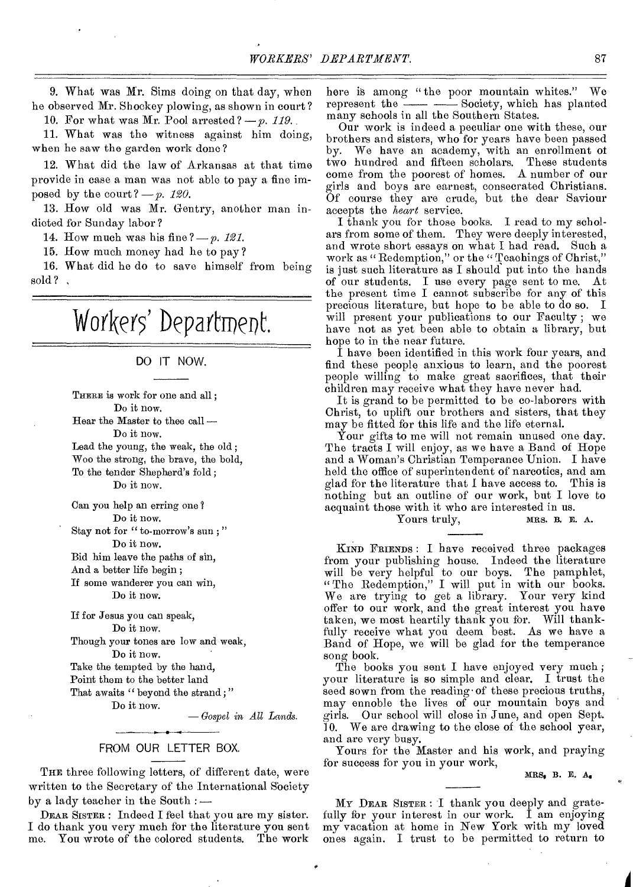9. What was Mr. Sims doing on that day, when he observed Mr. Shockey plowing, as shown in court?

10. For what was Mr. Pool arrested? *—p. 119.* 

11. What was the witness against him doing, when he saw the garden work done ?

12. What did the law of Arkansas at that time provide in case a man was not able to pay a fine imposed by the court?  $-p.$  120.

13. How old was Mr. Gentry, another man indicted for Sunday labor ?

14. How much was his fine *?—p. 121.* 

15. How much money had he to pay ?

16. What did he do to save himself from being sold?,

# Workers' Department.

### DO IT NOW.

THERE is work for one and all; Do it now.

Hear the Master to thee call — Do it now.

Lead the young, the weak, the old ; Woo the strong, the brave, the bold, To the tender Shepherd's fold ; Do it now.

Can you help an erring one ? Do it now.

Stay not for " to-morrow's sun;" Do it now.

Bid him leave the paths of sin, And a better life begin ; If some wanderer you can win,

Do it now.

If for Jesus you can speak, Do it now.

Though your tones are low and weak,

Do it now.

Take the tempted by the hand,

Point them to the better land That awaits " beyond the strand;"

Do it now.

*— Gospel in All Lands.* 

### FROM OUR LETTER BOX.

THE three following letters, of different date, were written to the Secretary of the International Society by a lady teacher in the South : —

DEAR SISTER : Indeed I feel that you are my sister. I do thank you very much for the literature you sent me. You wrote of the colored students. The work here is among "the poor mountain whites." We represent the  $\frac{c}{\sqrt{a}} = \frac{1}{\sqrt{a}}$  Society, which has planted many schools in all the Southern States.

Our work is indeed a peculiar one with these, our brothers and sisters, who for years have been passed by. We have an academy, with an enrollment of two hundred and fifteen scholars. These students come from the poorest of homes. A number of our girls and boys are earnest, consecrated Christians. Of course they are crude, but the dear Saviour accepts the *heart* service.

I thank you for those books. I read to my scholars from some of them. They were deeply interested, and wrote short essays on what I had read. Such a work as "Redemption," or the "Teachings of Christ," is just such literature as I should put into the hands of our students. I use every page sent to me. At the present time I cannot subscribe for any of this precious literature, but hope to be able to do so. I will present your publications to our Faculty ; we have not as yet been able to obtain a library, but hope to in the near future.

I have been identified in this work four years, and find these people anxious to learn, and the poorest people willing to make great sacrifices, that their children may receive what they have never had.

It is grand to be permitted to be co-laborers with Christ, to uplift our brothers and sisters, that they may be fitted for this life and the life eternal.

Your gifts to me will not remain unused one day. The tracts I will enjoy, as we have a Band of Hope and a Woman's Christian Temperance Union. I have held the office of superintendent of narcotics, and am glad for the literature that I have access to. This is nothing but an outline of our work, but I love to acquaint those with it who are interested in us.<br>Yours truly. MRS. B. E. A. Yours truly,

KIND FRIENDS : I have received three packages from your publishing house. Indeed the literature will be very helpful to our boys. The pamphlet, "The Redemption," I will put in with our books. We are trying to get a library. Your very kind offer to our work, and the great interest you have taken, we most heartily thank you for. Will thankfully receive what you deem best. As we have a Band of Hope, we will be glad for the temperance song book.

The books you sent I have enjoyed very much ; your literature is so simple and clear. I trust the seed sown from the reading• of these precious truths, may ennoble the lives of our mountain boys and girls. Our school will close in June, and open Sept. 10. We are drawing to the close of the school year, and are very busy.

Yours for the Master and his work, and praying for success for you in your work,

MRS, B. E. A.

MY DEAR SISTER : I thank you deeply and gratefully for your interest in our work. I am enjoying my vacation at home in New York with my loved ones again. I trust to be permitted to return to